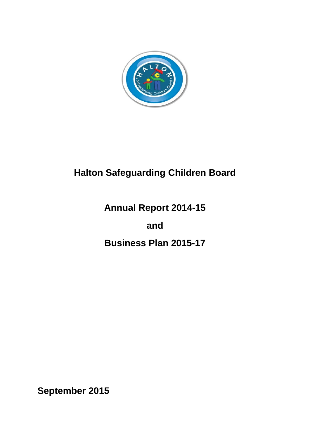

# **Halton Safeguarding Children Board**

# **Annual Report 2014-15**

# **and**

# **Business Plan 2015-17**

**September 2015**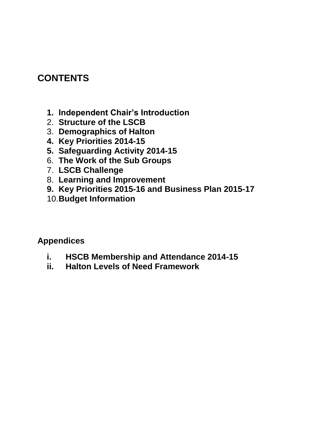## **CONTENTS**

- **1. Independent Chair's Introduction**
- 2. **Structure of the LSCB**
- 3. **Demographics of Halton**
- **4. Key Priorities 2014-15**
- **5. Safeguarding Activity 2014-15**
- 6. **The Work of the Sub Groups**
- 7. **LSCB Challenge**
- 8. **Learning and Improvement**
- **9. Key Priorities 2015-16 and Business Plan 2015-17**
- 10.**Budget Information**

**Appendices**

- **i. HSCB Membership and Attendance 2014-15**
- **ii. Halton Levels of Need Framework**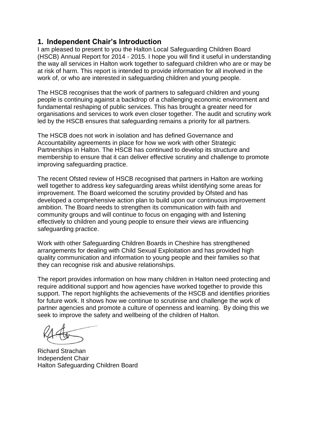### **1. Independent Chair's Introduction**

I am pleased to present to you the Halton Local Safeguarding Children Board (HSCB) Annual Report for 2014 - 2015. I hope you will find it useful in understanding the way all services in Halton work together to safeguard children who are or may be at risk of harm. This report is intended to provide information for all involved in the work of, or who are interested in safeguarding children and young people.

The HSCB recognises that the work of partners to safeguard children and young people is continuing against a backdrop of a challenging economic environment and fundamental reshaping of public services. This has brought a greater need for organisations and services to work even closer together. The audit and scrutiny work led by the HSCB ensures that safeguarding remains a priority for all partners.

The HSCB does not work in isolation and has defined Governance and Accountability agreements in place for how we work with other Strategic Partnerships in Halton. The HSCB has continued to develop its structure and membership to ensure that it can deliver effective scrutiny and challenge to promote improving safeguarding practice.

The recent Ofsted review of HSCB recognised that partners in Halton are working well together to address key safeguarding areas whilst identifying some areas for improvement. The Board welcomed the scrutiny provided by Ofsted and has developed a comprehensive action plan to build upon our continuous improvement ambition. The Board needs to strengthen its communication with faith and community groups and will continue to focus on engaging with and listening effectively to children and young people to ensure their views are influencing safeguarding practice.

Work with other Safeguarding Children Boards in Cheshire has strengthened arrangements for dealing with Child Sexual Exploitation and has provided high quality communication and information to young people and their families so that they can recognise risk and abusive relationships.

The report provides information on how many children in Halton need protecting and require additional support and how agencies have worked together to provide this support. The report highlights the achievements of the HSCB and identifies priorities for future work. It shows how we continue to scrutinise and challenge the work of partner agencies and promote a culture of openness and learning. By doing this we seek to improve the safety and wellbeing of the children of Halton.

Richard Strachan Independent Chair Halton Safeguarding Children Board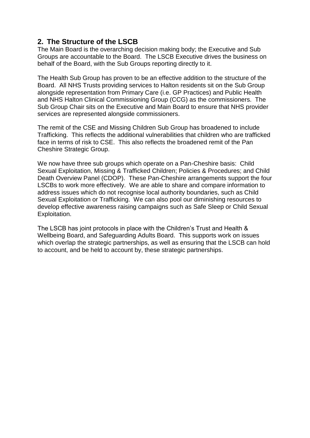## **2. The Structure of the LSCB**

The Main Board is the overarching decision making body; the Executive and Sub Groups are accountable to the Board. The LSCB Executive drives the business on behalf of the Board, with the Sub Groups reporting directly to it.

The Health Sub Group has proven to be an effective addition to the structure of the Board. All NHS Trusts providing services to Halton residents sit on the Sub Group alongside representation from Primary Care (i.e. GP Practices) and Public Health and NHS Halton Clinical Commissioning Group (CCG) as the commissioners. The Sub Group Chair sits on the Executive and Main Board to ensure that NHS provider services are represented alongside commissioners.

The remit of the CSE and Missing Children Sub Group has broadened to include Trafficking. This reflects the additional vulnerabilities that children who are trafficked face in terms of risk to CSE. This also reflects the broadened remit of the Pan Cheshire Strategic Group.

We now have three sub groups which operate on a Pan-Cheshire basis: Child Sexual Exploitation, Missing & Trafficked Children; Policies & Procedures; and Child Death Overview Panel (CDOP). These Pan-Cheshire arrangements support the four LSCBs to work more effectively. We are able to share and compare information to address issues which do not recognise local authority boundaries, such as Child Sexual Exploitation or Trafficking. We can also pool our diminishing resources to develop effective awareness raising campaigns such as Safe Sleep or Child Sexual Exploitation.

The LSCB has joint protocols in place with the Children's Trust and Health & Wellbeing Board, and Safeguarding Adults Board. This supports work on issues which overlap the strategic partnerships, as well as ensuring that the LSCB can hold to account, and be held to account by, these strategic partnerships.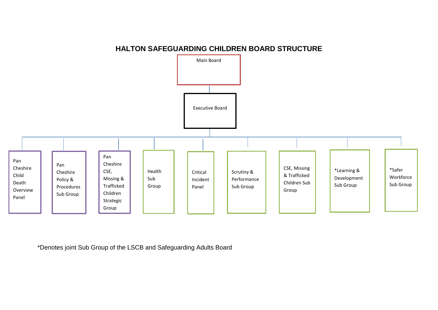#### **HALTON SAFEGUARDING CHILDREN BOARD STRUCTURE**



\*Denotes joint Sub Group of the LSCB and Safeguarding Adults Board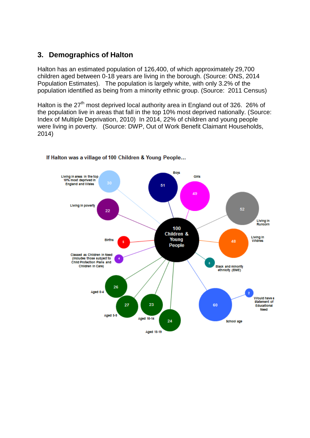## **3. Demographics of Halton**

Halton has an estimated population of 126,400, of which approximately 29,700 children aged between 0-18 years are living in the borough. (Source: ONS, 2014 Population Estimates). The population is largely white, with only 3.2% of the population identified as being from a minority ethnic group. (Source: 2011 Census)

Halton is the  $27<sup>th</sup>$  most deprived local authority area in England out of 326. 26% of the population live in areas that fall in the top 10% most deprived nationally. (Source: Index of Multiple Deprivation, 2010) In 2014, 22% of children and young people were living in poverty. (Source: DWP, Out of Work Benefit Claimant Households, 2014)



#### If Halton was a village of 100 Children & Young People...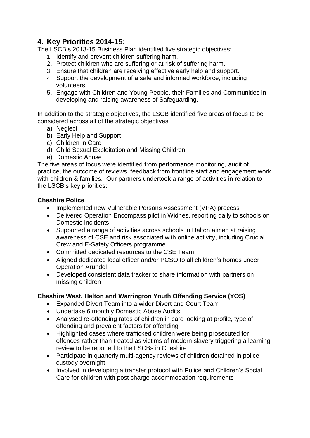## **4. Key Priorities 2014-15:**

The LSCB's 2013-15 Business Plan identified five strategic objectives:

- 1. Identify and prevent children suffering harm.
- 2. Protect children who are suffering or at risk of suffering harm.
- 3. Ensure that children are receiving effective early help and support.
- 4. Support the development of a safe and informed workforce, including volunteers.
- 5. Engage with Children and Young People, their Families and Communities in developing and raising awareness of Safeguarding.

In addition to the strategic objectives, the LSCB identified five areas of focus to be considered across all of the strategic objectives:

- a) Neglect
- b) Early Help and Support
- c) Children in Care
- d) Child Sexual Exploitation and Missing Children
- e) Domestic Abuse

The five areas of focus were identified from performance monitoring, audit of practice, the outcome of reviews, feedback from frontline staff and engagement work with children & families. Our partners undertook a range of activities in relation to the LSCB's key priorities:

#### **Cheshire Police**

- Implemented new Vulnerable Persons Assessment (VPA) process
- Delivered Operation Encompass pilot in Widnes, reporting daily to schools on Domestic Incidents
- Supported a range of activities across schools in Halton aimed at raising awareness of CSE and risk associated with online activity, including Crucial Crew and E-Safety Officers programme
- Committed dedicated resources to the CSE Team
- Aligned dedicated local officer and/or PCSO to all children's homes under Operation Arundel
- Developed consistent data tracker to share information with partners on missing children

#### **Cheshire West, Halton and Warrington Youth Offending Service (YOS)**

- Expanded Divert Team into a wider Divert and Court Team
- Undertake 6 monthly Domestic Abuse Audits
- Analysed re-offending rates of children in care looking at profile, type of offending and prevalent factors for offending
- Highlighted cases where trafficked children were being prosecuted for offences rather than treated as victims of modern slavery triggering a learning review to be reported to the LSCBs in Cheshire
- Participate in quarterly multi-agency reviews of children detained in police custody overnight
- Involved in developing a transfer protocol with Police and Children's Social Care for children with post charge accommodation requirements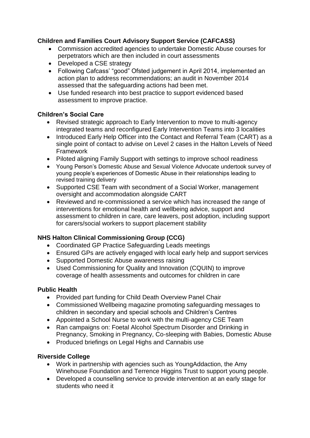#### **Children and Families Court Advisory Support Service (CAFCASS)**

- Commission accredited agencies to undertake Domestic Abuse courses for perpetrators which are then included in court assessments
- Developed a CSE strategy
- Following Cafcass' "good" Ofsted judgement in April 2014, implemented an action plan to address recommendations; an audit in November 2014 assessed that the safeguarding actions had been met.
- Use funded research into best practice to support evidenced based assessment to improve practice.

#### **Children's Social Care**

- Revised strategic approach to Early Intervention to move to multi-agency integrated teams and reconfigured Early Intervention Teams into 3 localities
- Introduced Early Help Officer into the Contact and Referral Team (CART) as a single point of contact to advise on Level 2 cases in the Halton Levels of Need Framework
- Piloted aligning Family Support with settings to improve school readiness
- Young Person's Domestic Abuse and Sexual Violence Advocate undertook survey of young people's experiences of Domestic Abuse in their relationships leading to revised training delivery
- Supported CSE Team with secondment of a Social Worker, management oversight and accommodation alongside CART
- Reviewed and re-commissioned a service which has increased the range of interventions for emotional health and wellbeing advice, support and assessment to children in care, care leavers, post adoption, including support for carers/social workers to support placement stability

#### **NHS Halton Clinical Commissioning Group (CCG)**

- Coordinated GP Practice Safeguarding Leads meetings
- Ensured GPs are actively engaged with local early help and support services
- Supported Domestic Abuse awareness raising
- Used Commissioning for Quality and Innovation (CQUIN) to improve coverage of health assessments and outcomes for children in care

#### **Public Health**

- Provided part funding for Child Death Overview Panel Chair
- Commissioned Wellbeing magazine promoting safeguarding messages to children in secondary and special schools and Children's Centres
- Appointed a School Nurse to work with the multi-agency CSE Team
- Ran campaigns on: Foetal Alcohol Spectrum Disorder and Drinking in Pregnancy, Smoking in Pregnancy, Co-sleeping with Babies, Domestic Abuse
- Produced briefings on Legal Highs and Cannabis use

#### **Riverside College**

- Work in partnership with agencies such as YoungAddaction, the Amy Winehouse Foundation and Terrence Higgins Trust to support young people.
- Developed a counselling service to provide intervention at an early stage for students who need it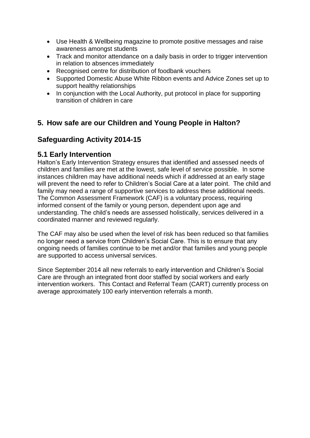- Use Health & Wellbeing magazine to promote positive messages and raise awareness amongst students
- Track and monitor attendance on a daily basis in order to trigger intervention in relation to absences immediately
- Recognised centre for distribution of foodbank vouchers
- Supported Domestic Abuse White Ribbon events and Advice Zones set up to support healthy relationships
- In conjunction with the Local Authority, put protocol in place for supporting transition of children in care

## **5. How safe are our Children and Young People in Halton?**

## **Safeguarding Activity 2014-15**

### **5.1 Early Intervention**

Halton's Early Intervention Strategy ensures that identified and assessed needs of children and families are met at the lowest, safe level of service possible. In some instances children may have additional needs which if addressed at an early stage will prevent the need to refer to Children's Social Care at a later point. The child and family may need a range of supportive services to address these additional needs. The Common Assessment Framework (CAF) is a voluntary process, requiring informed consent of the family or young person, dependent upon age and understanding. The child's needs are assessed holistically, services delivered in a coordinated manner and reviewed regularly.

The CAF may also be used when the level of risk has been reduced so that families no longer need a service from Children's Social Care. This is to ensure that any ongoing needs of families continue to be met and/or that families and young people are supported to access universal services.

Since September 2014 all new referrals to early intervention and Children's Social Care are through an integrated front door staffed by social workers and early intervention workers. This Contact and Referral Team (CART) currently process on average approximately 100 early intervention referrals a month.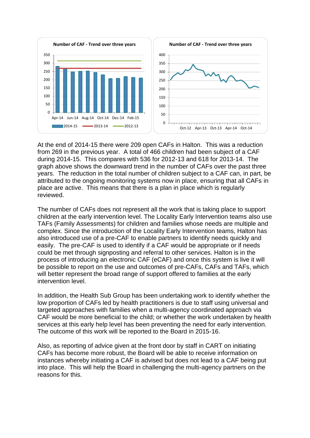

At the end of 2014-15 there were 209 open CAFs in Halton. This was a reduction from 269 in the previous year. A total of 466 children had been subject of a CAF during 2014-15. This compares with 536 for 2012-13 and 618 for 2013-14. The graph above shows the downward trend in the number of CAFs over the past three years. The reduction in the total number of children subject to a CAF can, in part, be attributed to the ongoing monitoring systems now in place, ensuring that all CAFs in place are active. This means that there is a plan in place which is regularly reviewed.

The number of CAFs does not represent all the work that is taking place to support children at the early intervention level. The Locality Early Intervention teams also use TAFs (Family Assessments) for children and families whose needs are multiple and complex. Since the introduction of the Locality Early Intervention teams, Halton has also introduced use of a pre-CAF to enable partners to identify needs quickly and easily. The pre-CAF is used to identify if a CAF would be appropriate or if needs could be met through signposting and referral to other services. Halton is in the process of introducing an electronic CAF (eCAF) and once this system is live it will be possible to report on the use and outcomes of pre-CAFs, CAFs and TAFs, which will better represent the broad range of support offered to families at the early intervention level.

In addition, the Health Sub Group has been undertaking work to identify whether the low proportion of CAFs led by health practitioners is due to staff using universal and targeted approaches with families when a multi-agency coordinated approach via CAF would be more beneficial to the child; or whether the work undertaken by health services at this early help level has been preventing the need for early intervention. The outcome of this work will be reported to the Board in 2015-16.

Also, as reporting of advice given at the front door by staff in CART on initiating CAFs has become more robust, the Board will be able to receive information on instances whereby initiating a CAF is advised but does not lead to a CAF being put into place. This will help the Board in challenging the multi-agency partners on the reasons for this.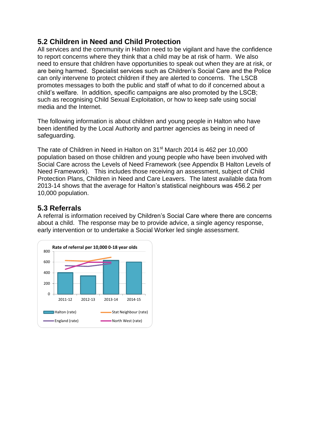## **5.2 Children in Need and Child Protection**

All services and the community in Halton need to be vigilant and have the confidence to report concerns where they think that a child may be at risk of harm. We also need to ensure that children have opportunities to speak out when they are at risk, or are being harmed. Specialist services such as Children's Social Care and the Police can only intervene to protect children if they are alerted to concerns. The LSCB promotes messages to both the public and staff of what to do if concerned about a child's welfare. In addition, specific campaigns are also promoted by the LSCB; such as recognising Child Sexual Exploitation, or how to keep safe using social media and the Internet.

The following information is about children and young people in Halton who have been identified by the Local Authority and partner agencies as being in need of safeguarding.

The rate of Children in Need in Halton on 31<sup>st</sup> March 2014 is 462 per 10,000 population based on those children and young people who have been involved with Social Care across the Levels of Need Framework (see Appendix B Halton Levels of Need Framework). This includes those receiving an assessment, subject of Child Protection Plans, Children in Need and Care Leavers. The latest available data from 2013-14 shows that the average for Halton's statistical neighbours was 456.2 per 10,000 population.

## **5.3 Referrals**

A referral is information received by Children's Social Care where there are concerns about a child. The response may be to provide advice, a single agency response, early intervention or to undertake a Social Worker led single assessment.

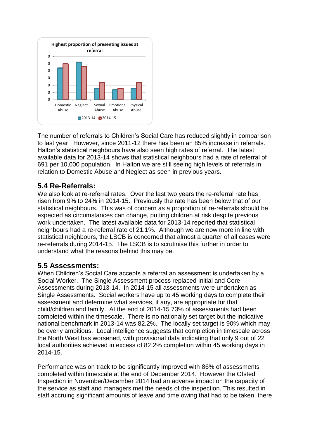

The number of referrals to Children's Social Care has reduced slightly in comparison to last year. However, since 2011-12 there has been an 85% increase in referrals. Halton's statistical neighbours have also seen high rates of referral. The latest available data for 2013-14 shows that statistical neighbours had a rate of referral of 691 per 10,000 population. In Halton we are still seeing high levels of referrals in relation to Domestic Abuse and Neglect as seen in previous years.

## **5.4 Re-Referrals:**

We also look at re-referral rates. Over the last two years the re-referral rate has risen from 9% to 24% in 2014-15. Previously the rate has been below that of our statistical neighbours. This was of concern as a proportion of re-referrals should be expected as circumstances can change, putting children at risk despite previous work undertaken. The latest available data for 2013-14 reported that statistical neighbours had a re-referral rate of 21.1%. Although we are now more in line with statistical neighbours, the LSCB is concerned that almost a quarter of all cases were re-referrals during 2014-15. The LSCB is to scrutinise this further in order to understand what the reasons behind this may be.

#### **5.5 Assessments:**

When Children's Social Care accepts a referral an assessment is undertaken by a Social Worker. The Single Assessment process replaced Initial and Core Assessments during 2013-14. In 2014-15 all assessments were undertaken as Single Assessments. Social workers have up to 45 working days to complete their assessment and determine what services, if any, are appropriate for that child/children and family. At the end of 2014-15 73% of assessments had been completed within the timescale. There is no nationally set target but the indicative national benchmark in 2013-14 was 82.2%. The locally set target is 90% which may be overly ambitious. Local intelligence suggests that completion in timescale across the North West has worsened, with provisional data indicating that only 9 out of 22 local authorities achieved in excess of 82.2% completion within 45 working days in 2014-15.

Performance was on track to be significantly improved with 86% of assessments completed within timescale at the end of December 2014. However the Ofsted Inspection in November/December 2014 had an adverse impact on the capacity of the service as staff and managers met the needs of the inspection. This resulted in staff accruing significant amounts of leave and time owing that had to be taken; there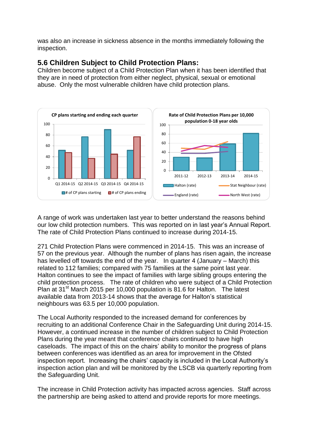was also an increase in sickness absence in the months immediately following the inspection.

### **5.6 Children Subject to Child Protection Plans:**

Children become subject of a Child Protection Plan when it has been identified that they are in need of protection from either neglect, physical, sexual or emotional abuse. Only the most vulnerable children have child protection plans.



A range of work was undertaken last year to better understand the reasons behind our low child protection numbers. This was reported on in last year's Annual Report. The rate of Child Protection Plans continued to increase during 2014-15.

271 Child Protection Plans were commenced in 2014-15. This was an increase of 57 on the previous year. Although the number of plans has risen again, the increase has levelled off towards the end of the year. In quarter 4 (January – March) this related to 112 families; compared with 75 families at the same point last year. Halton continues to see the impact of families with large sibling groups entering the child protection process. The rate of children who were subject of a Child Protection Plan at 31<sup>st</sup> March 2015 per 10,000 population is 81.6 for Halton. The latest available data from 2013-14 shows that the average for Halton's statistical neighbours was 63.5 per 10,000 population.

The Local Authority responded to the increased demand for conferences by recruiting to an additional Conference Chair in the Safeguarding Unit during 2014-15. However, a continued increase in the number of children subject to Child Protection Plans during the year meant that conference chairs continued to have high caseloads. The impact of this on the chairs' ability to monitor the progress of plans between conferences was identified as an area for improvement in the Ofsted inspection report. Increasing the chairs' capacity is included in the Local Authority's inspection action plan and will be monitored by the LSCB via quarterly reporting from the Safeguarding Unit.

The increase in Child Protection activity has impacted across agencies. Staff across the partnership are being asked to attend and provide reports for more meetings.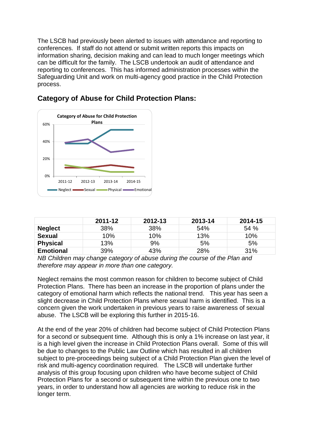The LSCB had previously been alerted to issues with attendance and reporting to conferences. If staff do not attend or submit written reports this impacts on information sharing, decision making and can lead to much longer meetings which can be difficult for the family. The LSCB undertook an audit of attendance and reporting to conferences. This has informed administration processes within the Safeguarding Unit and work on multi-agency good practice in the Child Protection process.



## **Category of Abuse for Child Protection Plans:**

|                  | 2011-12      | 2012-13 | 2013-14 | 2014-15 |
|------------------|--------------|---------|---------|---------|
| <b>Neglect</b>   | 38%          | 38%     | 54%     | 54 %    |
| <b>Sexual</b>    | 10%          | 10%     | 13%     | 10%     |
| <b>Physical</b>  | 13%          | 9%      | 5%      | 5%      |
| <b>Emotional</b> | 39%          | 43%     | 28%     | 31%     |
|                  | $\mathbf{A}$ |         |         |         |

*NB Children may change category of abuse during the course of the Plan and therefore may appear in more than one category.*

Neglect remains the most common reason for children to become subject of Child Protection Plans. There has been an increase in the proportion of plans under the category of emotional harm which reflects the national trend. This year has seen a slight decrease in Child Protection Plans where sexual harm is identified. This is a concern given the work undertaken in previous years to raise awareness of sexual abuse. The LSCB will be exploring this further in 2015-16.

At the end of the year 20% of children had become subject of Child Protection Plans for a second or subsequent time. Although this is only a 1% increase on last year, it is a high level given the increase in Child Protection Plans overall. Some of this will be due to changes to the Public Law Outline which has resulted in all children subject to pre-proceedings being subject of a Child Protection Plan given the level of risk and multi-agency coordination required. The LSCB will undertake further analysis of this group focusing upon children who have become subject of Child Protection Plans for a second or subsequent time within the previous one to two years, in order to understand how all agencies are working to reduce risk in the longer term.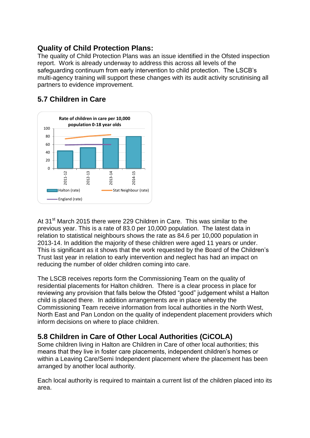## **Quality of Child Protection Plans:**

The quality of Child Protection Plans was an issue identified in the Ofsted inspection report. Work is already underway to address this across all levels of the safeguarding continuum from early intervention to child protection. The LSCB's multi-agency training will support these changes with its audit activity scrutinising all partners to evidence improvement.

## **5.7 Children in Care**



At 31<sup>st</sup> March 2015 there were 229 Children in Care. This was similar to the previous year. This is a rate of 83.0 per 10,000 population. The latest data in relation to statistical neighbours shows the rate as 84.6 per 10,000 population in 2013-14. In addition the majority of these children were aged 11 years or under. This is significant as it shows that the work requested by the Board of the Children's Trust last year in relation to early intervention and neglect has had an impact on reducing the number of older children coming into care.

The LSCB receives reports form the Commissioning Team on the quality of residential placements for Halton children. There is a clear process in place for reviewing any provision that falls below the Ofsted "good" judgement whilst a Halton child is placed there. In addition arrangements are in place whereby the Commissioning Team receive information from local authorities in the North West, North East and Pan London on the quality of independent placement providers which inform decisions on where to place children.

## **5.8 Children in Care of Other Local Authorities (CiCOLA)**

Some children living in Halton are Children in Care of other local authorities; this means that they live in foster care placements, independent children's homes or within a Leaving Care/Semi Independent placement where the placement has been arranged by another local authority.

Each local authority is required to maintain a current list of the children placed into its area.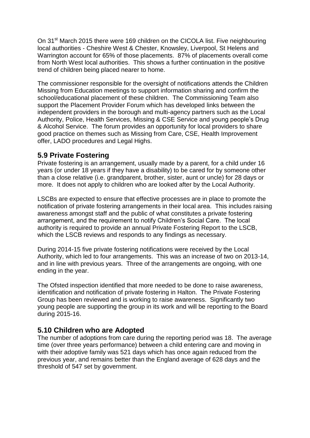On 31<sup>st</sup> March 2015 there were 169 children on the CICOLA list. Five neighbouring local authorities - Cheshire West & Chester, Knowsley, Liverpool, St Helens and Warrington account for 65% of those placements. 87% of placements overall come from North West local authorities. This shows a further continuation in the positive trend of children being placed nearer to home.

The commissioner responsible for the oversight of notifications attends the Children Missing from Education meetings to support information sharing and confirm the school/educational placement of these children. The Commissioning Team also support the Placement Provider Forum which has developed links between the independent providers in the borough and multi-agency partners such as the Local Authority, Police, Health Services, Missing & CSE Service and young people's Drug & Alcohol Service. The forum provides an opportunity for local providers to share good practice on themes such as Missing from Care, CSE, Health Improvement offer, LADO procedures and Legal Highs.

#### **5.9 Private Fostering**

Private fostering is an arrangement, usually made by a parent, for a child under 16 years (or under 18 years if they have a disability) to be cared for by someone other than a close relative (i.e. grandparent, brother, sister, aunt or uncle) for 28 days or more. It does not apply to children who are looked after by the Local Authority.

LSCBs are expected to ensure that effective processes are in place to promote the notification of private fostering arrangements in their local area. This includes raising awareness amongst staff and the public of what constitutes a private fostering arrangement, and the requirement to notify Children's Social Care. The local authority is required to provide an annual Private Fostering Report to the LSCB, which the LSCB reviews and responds to any findings as necessary.

During 2014-15 five private fostering notifications were received by the Local Authority, which led to four arrangements. This was an increase of two on 2013-14, and in line with previous years. Three of the arrangements are ongoing, with one ending in the year.

The Ofsted inspection identified that more needed to be done to raise awareness, identification and notification of private fostering in Halton. The Private Fostering Group has been reviewed and is working to raise awareness. Significantly two young people are supporting the group in its work and will be reporting to the Board during 2015-16.

#### **5.10 Children who are Adopted**

The number of adoptions from care during the reporting period was 18. The average time (over three years performance) between a child entering care and moving in with their adoptive family was 521 days which has once again reduced from the previous year, and remains better than the England average of 628 days and the threshold of 547 set by government.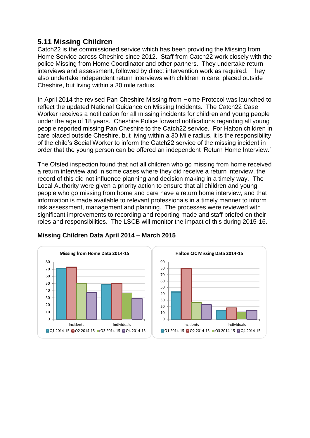## **5.11 Missing Children**

Catch22 is the commissioned service which has been providing the Missing from Home Service across Cheshire since 2012. Staff from Catch22 work closely with the police Missing from Home Coordinator and other partners. They undertake return interviews and assessment, followed by direct intervention work as required. They also undertake independent return interviews with children in care, placed outside Cheshire, but living within a 30 mile radius.

In April 2014 the revised Pan Cheshire Missing from Home Protocol was launched to reflect the updated National Guidance on Missing Incidents. The Catch22 Case Worker receives a notification for all missing incidents for children and young people under the age of 18 years. Cheshire Police forward notifications regarding all young people reported missing Pan Cheshire to the Catch22 service. For Halton children in care placed outside Cheshire, but living within a 30 Mile radius, it is the responsibility of the child's Social Worker to inform the Catch22 service of the missing incident in order that the young person can be offered an independent 'Return Home Interview.'

The Ofsted inspection found that not all children who go missing from home received a return interview and in some cases where they did receive a return interview, the record of this did not influence planning and decision making in a timely way. The Local Authority were given a priority action to ensure that all children and young people who go missing from home and care have a return home interview, and that information is made available to relevant professionals in a timely manner to inform risk assessment, management and planning. The processes were reviewed with significant improvements to recording and reporting made and staff briefed on their roles and responsibilities. The LSCB will monitor the impact of this during 2015-16.





#### **Missing Children Data April 2014 – March 2015**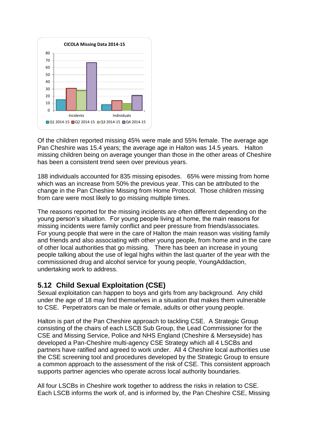

Of the children reported missing 45% were male and 55% female. The average age Pan Cheshire was 15.4 years; the average age in Halton was 14.5 years. Halton missing children being on average younger than those in the other areas of Cheshire has been a consistent trend seen over previous years.

188 individuals accounted for 835 missing episodes. 65% were missing from home which was an increase from 50% the previous year. This can be attributed to the change in the Pan Cheshire Missing from Home Protocol. Those children missing from care were most likely to go missing multiple times.

The reasons reported for the missing incidents are often different depending on the young person's situation. For young people living at home, the main reasons for missing incidents were family conflict and peer pressure from friends/associates. For young people that were in the care of Halton the main reason was visiting family and friends and also associating with other young people, from home and in the care of other local authorities that go missing. There has been an increase in young people talking about the use of legal highs within the last quarter of the year with the commissioned drug and alcohol service for young people, YoungAddaction, undertaking work to address.

## **5.12 Child Sexual Exploitation (CSE)**

Sexual exploitation can happen to boys and girls from any background. Any child under the age of 18 may find themselves in a situation that makes them vulnerable to CSE. Perpetrators can be male or female, adults or other young people.

Halton is part of the Pan Cheshire approach to tackling CSE. A Strategic Group consisting of the chairs of each LSCB Sub Group, the Lead Commissioner for the CSE and Missing Service, Police and NHS England (Cheshire & Merseyside) has developed a Pan-Cheshire multi-agency CSE Strategy which all 4 LSCBs and partners have ratified and agreed to work under. All 4 Cheshire local authorities use the CSE screening tool and procedures developed by the Strategic Group to ensure a common approach to the assessment of the risk of CSE. This consistent approach supports partner agencies who operate across local authority boundaries.

All four LSCBs in Cheshire work together to address the risks in relation to CSE. Each LSCB informs the work of, and is informed by, the Pan Cheshire CSE, Missing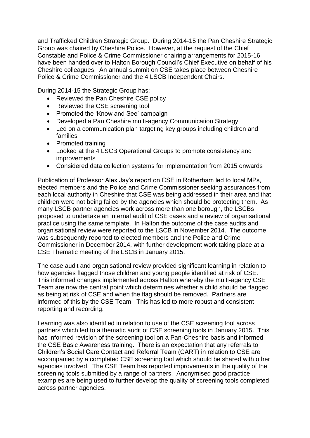and Trafficked Children Strategic Group. During 2014-15 the Pan Cheshire Strategic Group was chaired by Cheshire Police. However, at the request of the Chief Constable and Police & Crime Commissioner chairing arrangements for 2015-16 have been handed over to Halton Borough Council's Chief Executive on behalf of his Cheshire colleagues. An annual summit on CSE takes place between Cheshire Police & Crime Commissioner and the 4 LSCB Independent Chairs.

During 2014-15 the Strategic Group has:

- Reviewed the Pan Cheshire CSE policy
- Reviewed the CSE screening tool
- Promoted the 'Know and See' campaign
- Developed a Pan Cheshire multi-agency Communication Strategy
- Led on a communication plan targeting key groups including children and families
- Promoted training
- Looked at the 4 LSCB Operational Groups to promote consistency and **improvements**
- Considered data collection systems for implementation from 2015 onwards

Publication of Professor Alex Jay's report on CSE in Rotherham led to local MPs, elected members and the Police and Crime Commissioner seeking assurances from each local authority in Cheshire that CSE was being addressed in their area and that children were not being failed by the agencies which should be protecting them. As many LSCB partner agencies work across more than one borough, the LSCBs proposed to undertake an internal audit of CSE cases and a review of organisational practice using the same template. In Halton the outcome of the case audits and organisational review were reported to the LSCB in November 2014. The outcome was subsequently reported to elected members and the Police and Crime Commissioner in December 2014, with further development work taking place at a CSE Thematic meeting of the LSCB in January 2015.

The case audit and organisational review provided significant learning in relation to how agencies flagged those children and young people identified at risk of CSE. This informed changes implemented across Halton whereby the multi-agency CSE Team are now the central point which determines whether a child should be flagged as being at risk of CSE and when the flag should be removed. Partners are informed of this by the CSE Team. This has led to more robust and consistent reporting and recording.

Learning was also identified in relation to use of the CSE screening tool across partners which led to a thematic audit of CSE screening tools in January 2015. This has informed revision of the screening tool on a Pan-Cheshire basis and informed the CSE Basic Awareness training. There is an expectation that any referrals to Children's Social Care Contact and Referral Team (CART) in relation to CSE are accompanied by a completed CSE screening tool which should be shared with other agencies involved. The CSE Team has reported improvements in the quality of the screening tools submitted by a range of partners. Anonymised good practice examples are being used to further develop the quality of screening tools completed across partner agencies.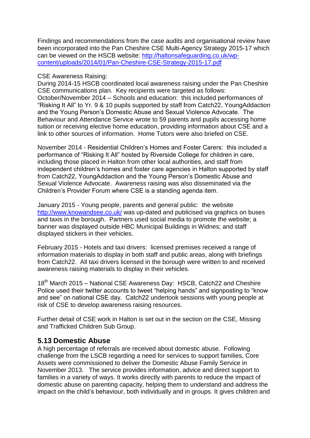Findings and recommendations from the case audits and organisational review have been incorporated into the Pan Cheshire CSE Multi-Agency Strategy 2015-17 which can be viewed on the HSCB website: [http://haltonsafeguarding.co.uk/wp](http://haltonsafeguarding.co.uk/wp-content/uploads/2014/01/Pan-Cheshire-CSE-Strategy-2015-17.pdf)[content/uploads/2014/01/Pan-Cheshire-CSE-Strategy-2015-17.pdf](http://haltonsafeguarding.co.uk/wp-content/uploads/2014/01/Pan-Cheshire-CSE-Strategy-2015-17.pdf)

#### CSE Awareness Raising:

During 2014-15 HSCB coordinated local awareness raising under the Pan Cheshire CSE communications plan. Key recipients were targeted as follows: October/November 2014 – Schools and education: this included performances of "Risking It All" to Yr. 9 & 10 pupils supported by staff from Catch22, YoungAddaction and the Young Person's Domestic Abuse and Sexual Violence Advocate. The Behaviour and Attendance Service wrote to 59 parents and pupils accessing home tuition or receiving elective home education, providing information about CSE and a link to other sources of information. Home Tutors were also briefed on CSE.

November 2014 - Residential Children's Homes and Foster Carers: this included a performance of "Risking It All" hosted by Riverside College for children in care, including those placed in Halton from other local authorities, and staff from independent children's homes and foster care agencies in Halton supported by staff from Catch22, YoungAddaction and the Young Person's Domestic Abuse and Sexual Violence Advocate. Awareness raising was also disseminated via the Children's Provider Forum where CSE is a standing agenda item.

January 2015 - Young people, parents and general public: the website <http://www.knowandsee.co.uk/> was up-dated and publicised via graphics on buses and taxis in the borough. Partners used social media to promote the website; a banner was displayed outside HBC Municipal Buildings in Widnes; and staff displayed stickers in their vehicles.

February 2015 - Hotels and taxi drivers: licensed premises received a range of information materials to display in both staff and public areas, along with briefings from Catch22. All taxi drivers licensed in the borough were written to and received awareness raising materials to display in their vehicles.

18<sup>th</sup> March 2015 – National CSE Awareness Day: HSCB, Catch22 and Cheshire Police used their twitter accounts to tweet "helping hands" and signposting to "know and see" on national CSE day. Catch22 undertook sessions with young people at risk of CSE to develop awareness raising resources.

Further detail of CSE work in Halton is set out in the section on the CSE, Missing and Trafficked Children Sub Group.

#### **5.13 Domestic Abuse**

A high percentage of referrals are received about domestic abuse. Following challenge from the LSCB regarding a need for services to support families, Core Assets were commissioned to deliver the Domestic Abuse Family Service in November 2013. The service provides information, advice and direct support to families in a variety of ways. It works directly with parents to reduce the impact of domestic abuse on parenting capacity, helping them to understand and address the impact on the child's behaviour, both individually and in groups. It gives children and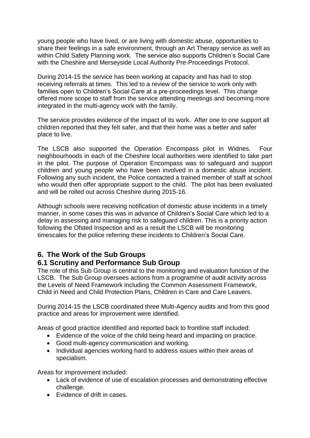young people who have lived, or are living with domestic abuse, opportunities to share their feelings in a safe environment, through an Art Therapy service as well as within Child Safety Planning work. The service also supports Children's Social Care with the Cheshire and Merseyside Local Authority Pre-Proceedings Protocol.

During 2014-15 the service has been working at capacity and has had to stop receiving referrals at times. This led to a review of the service to work only with families open to Children's Social Care at a pre-proceedings level. This change offered more scope to staff from the service attending meetings and becoming more integrated in the multi-agency work with the family.

The service provides evidence of the impact of its work. After one to one support all children reported that they felt safer, and that their home was a better and safer place to live.

The LSCB also supported the Operation Encompass pilot in Widnes. Four neighbourhoods in each of the Cheshire local authorities were identified to take part in the pilot. The purpose of Operation Encompass was to safeguard and support children and young people who have been involved in a domestic abuse incident. Following any such incident, the Police contacted a trained member of staff at school who would then offer appropriate support to the child. The pilot has been evaluated and will be rolled out across Cheshire during 2015-16.

Although schools were receiving notification of domestic abuse incidents in a timely manner, in some cases this was in advance of Children's Social Care which led to a delay in assessing and managing risk to safeguard children. This is a priority action following the Ofsted Inspection and as a result the LSCB will be monitoring timescales for the police referring these incidents to Children's Social Care.

## **6. The Work of the Sub Groups**

#### **6.1 Scrutiny and Performance Sub Group**

The role of this Sub Group is central to the monitoring and evaluation function of the LSCB. The Sub Group oversees actions from a programme of audit activity across the Levels of Need Framework including the Common Assessment Framework, Child in Need and Child Protection Plans, Children in Care and Care Leavers.

During 2014-15 the LSCB coordinated three Multi-Agency audits and from this good practice and areas for improvement were identified.

Areas of good practice identified and reported back to frontline staff included:

- Evidence of the voice of the child being heard and impacting on practice.
- Good multi-agency communication and working.
- Individual agencies working hard to address issues within their areas of specialism.

Areas for improvement included:

- Lack of evidence of use of escalation processes and demonstrating effective challenge.
- Fyidence of drift in cases.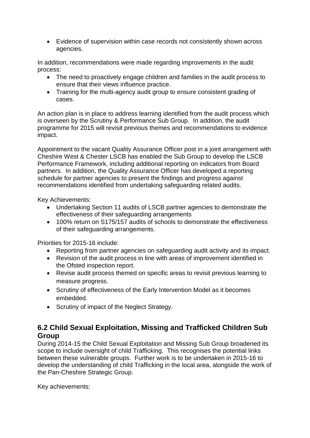Evidence of supervision within case records not consistently shown across agencies.

In addition, recommendations were made regarding improvements in the audit process:

- The need to proactively engage children and families in the audit process to ensure that their views influence practice.
- Training for the multi-agency audit group to ensure consistent grading of cases.

An action plan is in place to address learning identified from the audit process which is overseen by the Scrutiny & Performance Sub Group. In addition, the audit programme for 2015 will revisit previous themes and recommendations to evidence impact.

Appointment to the vacant Quality Assurance Officer post in a joint arrangement with Cheshire West & Chester LSCB has enabled the Sub Group to develop the LSCB Performance Framework, including additional reporting on indicators from Board partners. In addition, the Quality Assurance Officer has developed a reporting schedule for partner agencies to present the findings and progress against recommendations identified from undertaking safeguarding related audits.

Key Achievements:

- Undertaking Section 11 audits of LSCB partner agencies to demonstrate the effectiveness of their safeguarding arrangements
- 100% return on S175/157 audits of schools to demonstrate the effectiveness of their safeguarding arrangements.

Priorities for 2015-16 include:

- Reporting from partner agencies on safeguarding audit activity and its impact.
- Revision of the audit process in line with areas of improvement identified in the Ofsted inspection report.
- Revise audit process themed on specific areas to revisit previous learning to measure progress.
- Scrutiny of effectiveness of the Early Intervention Model as it becomes embedded.
- Scrutiny of impact of the Neglect Strategy.

### **6.2 Child Sexual Exploitation, Missing and Trafficked Children Sub Group**

During 2014-15 the Child Sexual Exploitation and Missing Sub Group broadened its scope to include oversight of child Trafficking. This recognises the potential links between these vulnerable groups. Further work is to be undertaken in 2015-16 to develop the understanding of child Trafficking in the local area, alongside the work of the Pan-Cheshire Strategic Group.

Key achievements: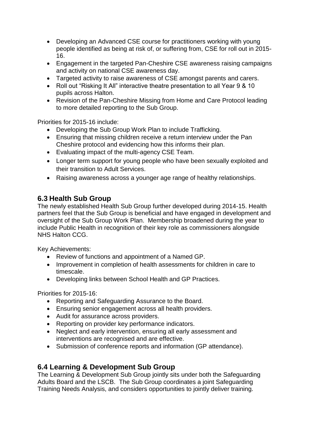- Developing an Advanced CSE course for practitioners working with young people identified as being at risk of, or suffering from, CSE for roll out in 2015- 16.
- Engagement in the targeted Pan-Cheshire CSE awareness raising campaigns and activity on national CSE awareness day.
- Targeted activity to raise awareness of CSE amongst parents and carers.
- Roll out "Risking It All" interactive theatre presentation to all Year 9 & 10 pupils across Halton.
- Revision of the Pan-Cheshire Missing from Home and Care Protocol leading to more detailed reporting to the Sub Group.

Priorities for 2015-16 include:

- Developing the Sub Group Work Plan to include Trafficking.
- Ensuring that missing children receive a return interview under the Pan Cheshire protocol and evidencing how this informs their plan.
- Evaluating impact of the multi-agency CSE Team.
- Longer term support for young people who have been sexually exploited and their transition to Adult Services.
- Raising awareness across a younger age range of healthy relationships.

## **6.3 Health Sub Group**

The newly established Health Sub Group further developed during 2014-15. Health partners feel that the Sub Group is beneficial and have engaged in development and oversight of the Sub Group Work Plan. Membership broadened during the year to include Public Health in recognition of their key role as commissioners alongside NHS Halton CCG.

Key Achievements:

- Review of functions and appointment of a Named GP.
- Improvement in completion of health assessments for children in care to timescale.
- Developing links between School Health and GP Practices.

Priorities for 2015-16:

- Reporting and Safeguarding Assurance to the Board.
- Ensuring senior engagement across all health providers.
- Audit for assurance across providers.
- Reporting on provider key performance indicators.
- Neglect and early intervention, ensuring all early assessment and interventions are recognised and are effective.
- Submission of conference reports and information (GP attendance).

## **6.4 Learning & Development Sub Group**

The Learning & Development Sub Group jointly sits under both the Safeguarding Adults Board and the LSCB. The Sub Group coordinates a joint Safeguarding Training Needs Analysis, and considers opportunities to jointly deliver training.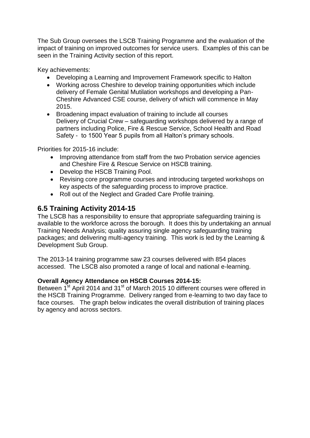The Sub Group oversees the LSCB Training Programme and the evaluation of the impact of training on improved outcomes for service users. Examples of this can be seen in the Training Activity section of this report.

Key achievements:

- Developing a Learning and Improvement Framework specific to Halton
- Working across Cheshire to develop training opportunities which include delivery of Female Genital Mutilation workshops and developing a Pan-Cheshire Advanced CSE course, delivery of which will commence in May 2015.
- Broadening impact evaluation of training to include all courses Delivery of Crucial Crew – safeguarding workshops delivered by a range of partners including Police, Fire & Rescue Service, School Health and Road Safety - to 1500 Year 5 pupils from all Halton's primary schools.

Priorities for 2015-16 include:

- Improving attendance from staff from the two Probation service agencies and Cheshire Fire & Rescue Service on HSCB training.
- Develop the HSCB Training Pool.
- Revising core programme courses and introducing targeted workshops on key aspects of the safeguarding process to improve practice.
- Roll out of the Neglect and Graded Care Profile training.

## **6.5 Training Activity 2014-15**

The LSCB has a responsibility to ensure that appropriate safeguarding training is available to the workforce across the borough. It does this by undertaking an annual Training Needs Analysis; quality assuring single agency safeguarding training packages; and delivering multi-agency training. This work is led by the Learning & Development Sub Group.

The 2013-14 training programme saw 23 courses delivered with 854 places accessed. The LSCB also promoted a range of local and national e-learning.

#### **Overall Agency Attendance on HSCB Courses 2014-15:**

Between 1<sup>st</sup> April 2014 and 31<sup>st</sup> of March 2015 10 different courses were offered in the HSCB Training Programme. Delivery ranged from e-learning to two day face to face courses. The graph below indicates the overall distribution of training places by agency and across sectors.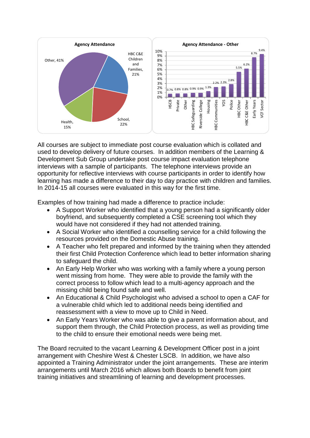

All courses are subject to immediate post course evaluation which is collated and used to develop delivery of future courses. In addition members of the Learning & Development Sub Group undertake post course impact evaluation telephone interviews with a sample of participants. The telephone interviews provide an opportunity for reflective interviews with course participants in order to identify how learning has made a difference to their day to day practice with children and families. In 2014-15 all courses were evaluated in this way for the first time.

Examples of how training had made a difference to practice include:

- A Support Worker who identified that a young person had a significantly older boyfriend, and subsequently completed a CSE screening tool which they would have not considered if they had not attended training.
- A Social Worker who identified a counselling service for a child following the resources provided on the Domestic Abuse training.
- A Teacher who felt prepared and informed by the training when they attended their first Child Protection Conference which lead to better information sharing to safeguard the child.
- An Early Help Worker who was working with a family where a young person went missing from home. They were able to provide the family with the correct process to follow which lead to a multi-agency approach and the missing child being found safe and well.
- An Educational & Child Psychologist who advised a school to open a CAF for a vulnerable child which led to additional needs being identified and reassessment with a view to move up to Child in Need.
- An Early Years Worker who was able to give a parent information about, and support them through, the Child Protection process, as well as providing time to the child to ensure their emotional needs were being met.

The Board recruited to the vacant Learning & Development Officer post in a joint arrangement with Cheshire West & Chester LSCB. In addition, we have also appointed a Training Administrator under the joint arrangements. These are interim arrangements until March 2016 which allows both Boards to benefit from joint training initiatives and streamlining of learning and development processes.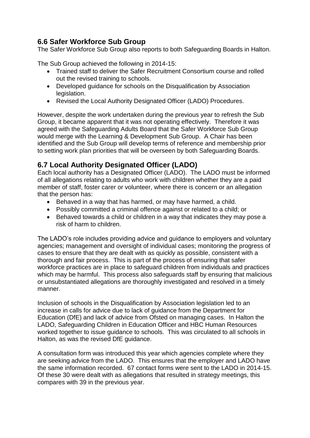## **6.6 Safer Workforce Sub Group**

The Safer Workforce Sub Group also reports to both Safeguarding Boards in Halton.

The Sub Group achieved the following in 2014-15:

- Trained staff to deliver the Safer Recruitment Consortium course and rolled out the revised training to schools.
- Developed guidance for schools on the Disqualification by Association legislation.
- Revised the Local Authority Designated Officer (LADO) Procedures.

However, despite the work undertaken during the previous year to refresh the Sub Group, it became apparent that it was not operating effectively. Therefore it was agreed with the Safeguarding Adults Board that the Safer Workforce Sub Group would merge with the Learning & Development Sub Group. A Chair has been identified and the Sub Group will develop terms of reference and membership prior to setting work plan priorities that will be overseen by both Safeguarding Boards.

### **6.7 Local Authority Designated Officer (LADO)**

Each local authority has a Designated Officer (LADO). The LADO must be informed of all allegations relating to adults who work with children whether they are a paid member of staff, foster carer or volunteer, where there is concern or an allegation that the person has:

- Behaved in a way that has harmed, or may have harmed, a child.
- Possibly committed a criminal offence against or related to a child; or
- Behaved towards a child or children in a way that indicates they may pose a risk of harm to children.

The LADO's role includes providing advice and guidance to employers and voluntary agencies; management and oversight of individual cases; monitoring the progress of cases to ensure that they are dealt with as quickly as possible, consistent with a thorough and fair process. This is part of the process of ensuring that safer workforce practices are in place to safeguard children from individuals and practices which may be harmful. This process also safeguards staff by ensuring that malicious or unsubstantiated allegations are thoroughly investigated and resolved in a timely manner.

Inclusion of schools in the Disqualification by Association legislation led to an increase in calls for advice due to lack of guidance from the Department for Education (DfE) and lack of advice from Ofsted on managing cases. In Halton the LADO, Safeguarding Children in Education Officer and HBC Human Resources worked together to issue guidance to schools. This was circulated to all schools in Halton, as was the revised DfE guidance.

A consultation form was introduced this year which agencies complete where they are seeking advice from the LADO. This ensures that the employer and LADO have the same information recorded. 67 contact forms were sent to the LADO in 2014-15. Of these 30 were dealt with as allegations that resulted in strategy meetings, this compares with 39 in the previous year.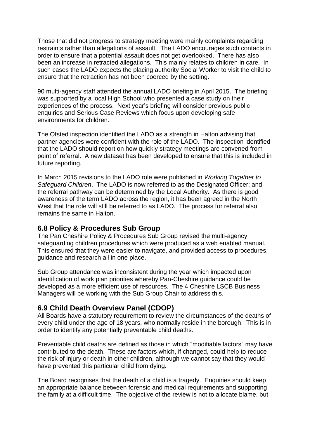Those that did not progress to strategy meeting were mainly complaints regarding restraints rather than allegations of assault. The LADO encourages such contacts in order to ensure that a potential assault does not get overlooked. There has also been an increase in retracted allegations. This mainly relates to children in care. In such cases the LADO expects the placing authority Social Worker to visit the child to ensure that the retraction has not been coerced by the setting.

90 multi-agency staff attended the annual LADO briefing in April 2015. The briefing was supported by a local High School who presented a case study on their experiences of the process. Next year's briefing will consider previous public enquiries and Serious Case Reviews which focus upon developing safe environments for children.

The Ofsted inspection identified the LADO as a strength in Halton advising that partner agencies were confident with the role of the LADO. The inspection identified that the LADO should report on how quickly strategy meetings are convened from point of referral. A new dataset has been developed to ensure that this is included in future reporting.

In March 2015 revisions to the LADO role were published in *Working Together to Safeguard Children*. The LADO is now referred to as the Designated Officer; and the referral pathway can be determined by the Local Authority. As there is good awareness of the term LADO across the region, it has been agreed in the North West that the role will still be referred to as LADO. The process for referral also remains the same in Halton.

#### **6.8 Policy & Procedures Sub Group**

The Pan Cheshire Policy & Procedures Sub Group revised the multi-agency safeguarding children procedures which were produced as a web enabled manual. This ensured that they were easier to navigate, and provided access to procedures, guidance and research all in one place.

Sub Group attendance was inconsistent during the year which impacted upon identification of work plan priorities whereby Pan-Cheshire guidance could be developed as a more efficient use of resources. The 4 Cheshire LSCB Business Managers will be working with the Sub Group Chair to address this.

#### **6.9 Child Death Overview Panel (CDOP)**

All Boards have a statutory requirement to review the circumstances of the deaths of every child under the age of 18 years, who normally reside in the borough. This is in order to identify any potentially preventable child deaths.

Preventable child deaths are defined as those in which "modifiable factors" may have contributed to the death. These are factors which, if changed, could help to reduce the risk of injury or death in other children, although we cannot say that they would have prevented this particular child from dying.

The Board recognises that the death of a child is a tragedy. Enquiries should keep an appropriate balance between forensic and medical requirements and supporting the family at a difficult time. The objective of the review is not to allocate blame, but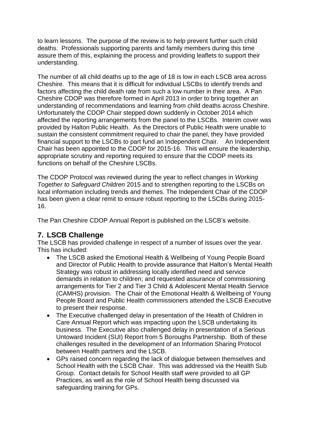to learn lessons. The purpose of the review is to help prevent further such child deaths. Professionals supporting parents and family members during this time assure them of this, explaining the process and providing leaflets to support their understanding.

The number of all child deaths up to the age of 18 is low in each LSCB area across Cheshire. This means that it is difficult for individual LSCBs to identify trends and factors affecting the child death rate from such a low number in their area. A Pan Cheshire CDOP was therefore formed in April 2013 in order to bring together an understanding of recommendations and learning from child deaths across Cheshire. Unfortunately the CDOP Chair stepped down suddenly in October 2014 which affected the reporting arrangements from the panel to the LSCBs. Interim cover was provided by Halton Public Health. As the Directors of Public Health were unable to sustain the consistent commitment required to chair the panel, they have provided financial support to the LSCBs to part fund an Independent Chair. An Independent Chair has been appointed to the CDOP for 2015-16. This will ensure the leadership, appropriate scrutiny and reporting required to ensure that the CDOP meets its functions on behalf of the Cheshire LSCBs.

The CDOP Protocol was reviewed during the year to reflect changes in *Working Together to Safeguard Children* 2015 and to strengthen reporting to the LSCBs on local information including trends and themes. The Independent Chair of the CDOP has been given a clear remit to ensure robust reporting to the LSCBs during 2015- 16.

The Pan Cheshire CDOP Annual Report is published on the LSCB's website.

## **7. LSCB Challenge**

The LSCB has provided challenge in respect of a number of issues over the year. This has included:

- The LSCB asked the Emotional Health & Wellbeing of Young People Board and Director of Public Health to provide assurance that Halton's Mental Health Strategy was robust in addressing locally identified need and service demands in relation to children; and requested assurance of commissioning arrangements for Tier 2 and Tier 3 Child & Adolescent Mental Health Service (CAMHS) provision. The Chair of the Emotional Health & Wellbeing of Young People Board and Public Health commissioners attended the LSCB Executive to present their response.
- The Executive challenged delay in presentation of the Health of Children in Care Annual Report which was impacting upon the LSCB undertaking its business. The Executive also challenged delay in presentation of a Serious Untoward Incident (SUI) Report from 5 Boroughs Partnership. Both of these challenges resulted in the development of an Information Sharing Protocol between Health partners and the LSCB.
- GPs raised concern regarding the lack of dialogue between themselves and School Health with the LSCB Chair. This was addressed via the Health Sub Group. Contact details for School Health staff were provided to all GP Practices, as well as the role of School Health being discussed via safeguarding training for GPs.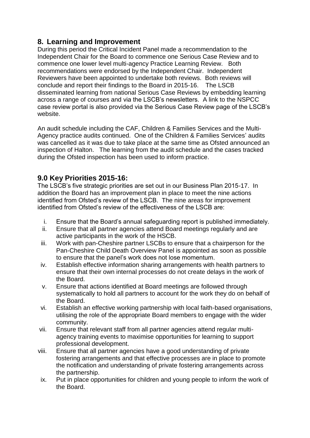## **8. Learning and Improvement**

During this period the Critical Incident Panel made a recommendation to the Independent Chair for the Board to commence one Serious Case Review and to commence one lower level multi-agency Practice Learning Review. Both recommendations were endorsed by the Independent Chair. Independent Reviewers have been appointed to undertake both reviews. Both reviews will conclude and report their findings to the Board in 2015-16. The LSCB disseminated learning from national Serious Case Reviews by embedding learning across a range of courses and via the LSCB's newsletters. A link to the NSPCC case review portal is also provided via the Serious Case Review page of the LSCB's website.

An audit schedule including the CAF, Children & Families Services and the Multi-Agency practice audits continued. One of the Children & Families Services' audits was cancelled as it was due to take place at the same time as Ofsted announced an inspection of Halton. The learning from the audit schedule and the cases tracked during the Ofsted inspection has been used to inform practice.

## **9.0 Key Priorities 2015-16:**

The LSCB's five strategic priorities are set out in our Business Plan 2015-17. In addition the Board has an improvement plan in place to meet the nine actions identified from Ofsted's review of the LSCB. The nine areas for improvement identified from Ofsted's review of the effectiveness of the LSCB are:

- i. Ensure that the Board's annual safeguarding report is published immediately.
- ii. Ensure that all partner agencies attend Board meetings regularly and are active participants in the work of the HSCB.
- iii. Work with pan-Cheshire partner LSCBs to ensure that a chairperson for the Pan-Cheshire Child Death Overview Panel is appointed as soon as possible to ensure that the panel's work does not lose momentum.
- iv. Establish effective information sharing arrangements with health partners to ensure that their own internal processes do not create delays in the work of the Board.
- v. Ensure that actions identified at Board meetings are followed through systematically to hold all partners to account for the work they do on behalf of the Board.
- vi. Establish an effective working partnership with local faith-based organisations, utilising the role of the appropriate Board members to engage with the wider community.
- vii. Ensure that relevant staff from all partner agencies attend regular multiagency training events to maximise opportunities for learning to support professional development.
- viii. Ensure that all partner agencies have a good understanding of private fostering arrangements and that effective processes are in place to promote the notification and understanding of private fostering arrangements across the partnership.
- ix. Put in place opportunities for children and young people to inform the work of the Board.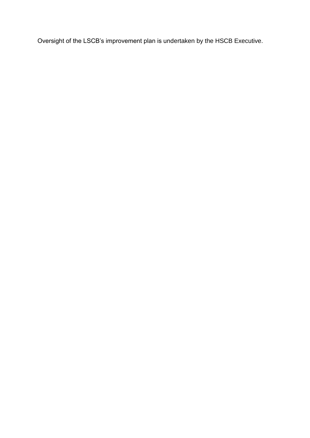Oversight of the LSCB's improvement plan is undertaken by the HSCB Executive.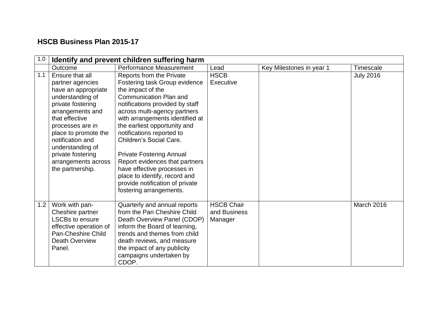## **HSCB Business Plan 2015-17**

| 1.0 |                                                                                                                                                                                                                                                                                               | Identify and prevent children suffering harm                                                                                                                                                                                                                                                                                                                                                                                                                                                              |                                              |                          |                  |
|-----|-----------------------------------------------------------------------------------------------------------------------------------------------------------------------------------------------------------------------------------------------------------------------------------------------|-----------------------------------------------------------------------------------------------------------------------------------------------------------------------------------------------------------------------------------------------------------------------------------------------------------------------------------------------------------------------------------------------------------------------------------------------------------------------------------------------------------|----------------------------------------------|--------------------------|------------------|
|     | Outcome                                                                                                                                                                                                                                                                                       | Performance Measurement                                                                                                                                                                                                                                                                                                                                                                                                                                                                                   | Lead                                         | Key Milestones in year 1 | <b>Timescale</b> |
| 1.1 | Ensure that all<br>partner agencies<br>have an appropriate<br>understanding of<br>private fostering<br>arrangements and<br>that effective<br>processes are in<br>place to promote the<br>notification and<br>understanding of<br>private fostering<br>arrangements across<br>the partnership. | Reports from the Private<br>Fostering task Group evidence<br>the impact of the<br>Communication Plan and<br>notifications provided by staff<br>across multi-agency partners<br>with arrangements identified at<br>the earliest opportunity and<br>notifications reported to<br>Children's Social Care.<br><b>Private Fostering Annual</b><br>Report evidences that partners<br>have effective processes in<br>place to identify, record and<br>provide notification of private<br>fostering arrangements. | <b>HSCB</b><br>Executive                     |                          | <b>July 2016</b> |
| 1.2 | Work with pan-<br>Cheshire partner<br><b>LSCBs to ensure</b><br>effective operation of<br>Pan-Cheshire Child<br><b>Death Overview</b><br>Panel.                                                                                                                                               | Quarterly and annual reports<br>from the Pan Cheshire Child<br>Death Overview Panel (CDOP)<br>inform the Board of learning,<br>trends and themes from child<br>death reviews, and measure<br>the impact of any publicity<br>campaigns undertaken by<br>CDOP.                                                                                                                                                                                                                                              | <b>HSCB Chair</b><br>and Business<br>Manager |                          | March 2016       |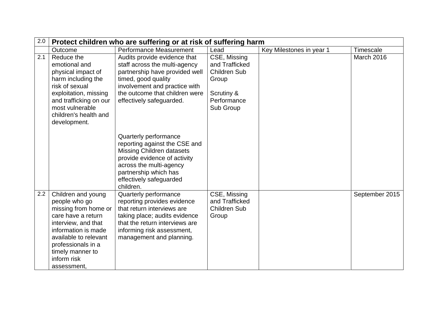| 2.0 |                                                                                                                                                                                                                                  | Protect children who are suffering or at risk of suffering harm                                                                                                                                                        |                                                                                                          |                          |                |
|-----|----------------------------------------------------------------------------------------------------------------------------------------------------------------------------------------------------------------------------------|------------------------------------------------------------------------------------------------------------------------------------------------------------------------------------------------------------------------|----------------------------------------------------------------------------------------------------------|--------------------------|----------------|
|     | Outcome                                                                                                                                                                                                                          | Performance Measurement                                                                                                                                                                                                | Lead                                                                                                     | Key Milestones in year 1 | Timescale      |
| 2.1 | Reduce the<br>emotional and<br>physical impact of<br>harm including the<br>risk of sexual<br>exploitation, missing<br>and trafficking on our<br>most vulnerable<br>children's health and<br>development.                         | Audits provide evidence that<br>staff across the multi-agency<br>partnership have provided well<br>timed, good quality<br>involvement and practice with<br>the outcome that children were<br>effectively safeguarded.  | CSE, Missing<br>and Trafficked<br><b>Children Sub</b><br>Group<br>Scrutiny &<br>Performance<br>Sub Group |                          | March 2016     |
|     |                                                                                                                                                                                                                                  | Quarterly performance<br>reporting against the CSE and<br><b>Missing Children datasets</b><br>provide evidence of activity<br>across the multi-agency<br>partnership which has<br>effectively safeguarded<br>children. |                                                                                                          |                          |                |
| 2.2 | Children and young<br>people who go<br>missing from home or<br>care have a return<br>interview, and that<br>information is made<br>available to relevant<br>professionals in a<br>timely manner to<br>inform risk<br>assessment, | Quarterly performance<br>reporting provides evidence<br>that return interviews are<br>taking place; audits evidence<br>that the return interviews are<br>informing risk assessment,<br>management and planning.        | CSE, Missing<br>and Trafficked<br><b>Children Sub</b><br>Group                                           |                          | September 2015 |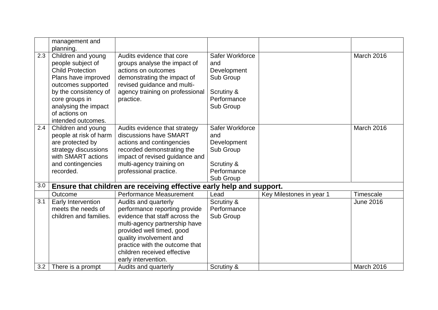| management and          |                                                                                                                                                                                                                                                                                                                                                                               |                                                                                                                                                                                                                                                                                                                                                                                                                                                                                                                                                                                  |                                                                                                                                                                                                |                                                                                                  |
|-------------------------|-------------------------------------------------------------------------------------------------------------------------------------------------------------------------------------------------------------------------------------------------------------------------------------------------------------------------------------------------------------------------------|----------------------------------------------------------------------------------------------------------------------------------------------------------------------------------------------------------------------------------------------------------------------------------------------------------------------------------------------------------------------------------------------------------------------------------------------------------------------------------------------------------------------------------------------------------------------------------|------------------------------------------------------------------------------------------------------------------------------------------------------------------------------------------------|--------------------------------------------------------------------------------------------------|
|                         | Audits evidence that core                                                                                                                                                                                                                                                                                                                                                     |                                                                                                                                                                                                                                                                                                                                                                                                                                                                                                                                                                                  |                                                                                                                                                                                                | March 2016                                                                                       |
|                         |                                                                                                                                                                                                                                                                                                                                                                               | and                                                                                                                                                                                                                                                                                                                                                                                                                                                                                                                                                                              |                                                                                                                                                                                                |                                                                                                  |
| <b>Child Protection</b> | actions on outcomes                                                                                                                                                                                                                                                                                                                                                           |                                                                                                                                                                                                                                                                                                                                                                                                                                                                                                                                                                                  |                                                                                                                                                                                                |                                                                                                  |
| Plans have improved     | demonstrating the impact of                                                                                                                                                                                                                                                                                                                                                   | Sub Group                                                                                                                                                                                                                                                                                                                                                                                                                                                                                                                                                                        |                                                                                                                                                                                                |                                                                                                  |
| outcomes supported      | revised guidance and multi-                                                                                                                                                                                                                                                                                                                                                   |                                                                                                                                                                                                                                                                                                                                                                                                                                                                                                                                                                                  |                                                                                                                                                                                                |                                                                                                  |
| by the consistency of   | agency training on professional                                                                                                                                                                                                                                                                                                                                               | Scrutiny &                                                                                                                                                                                                                                                                                                                                                                                                                                                                                                                                                                       |                                                                                                                                                                                                |                                                                                                  |
| core groups in          | practice.                                                                                                                                                                                                                                                                                                                                                                     | Performance                                                                                                                                                                                                                                                                                                                                                                                                                                                                                                                                                                      |                                                                                                                                                                                                |                                                                                                  |
|                         |                                                                                                                                                                                                                                                                                                                                                                               | Sub Group                                                                                                                                                                                                                                                                                                                                                                                                                                                                                                                                                                        |                                                                                                                                                                                                |                                                                                                  |
|                         |                                                                                                                                                                                                                                                                                                                                                                               |                                                                                                                                                                                                                                                                                                                                                                                                                                                                                                                                                                                  |                                                                                                                                                                                                |                                                                                                  |
|                         |                                                                                                                                                                                                                                                                                                                                                                               |                                                                                                                                                                                                                                                                                                                                                                                                                                                                                                                                                                                  |                                                                                                                                                                                                |                                                                                                  |
|                         |                                                                                                                                                                                                                                                                                                                                                                               |                                                                                                                                                                                                                                                                                                                                                                                                                                                                                                                                                                                  |                                                                                                                                                                                                | March 2016                                                                                       |
|                         |                                                                                                                                                                                                                                                                                                                                                                               |                                                                                                                                                                                                                                                                                                                                                                                                                                                                                                                                                                                  |                                                                                                                                                                                                |                                                                                                  |
|                         |                                                                                                                                                                                                                                                                                                                                                                               |                                                                                                                                                                                                                                                                                                                                                                                                                                                                                                                                                                                  |                                                                                                                                                                                                |                                                                                                  |
|                         |                                                                                                                                                                                                                                                                                                                                                                               |                                                                                                                                                                                                                                                                                                                                                                                                                                                                                                                                                                                  |                                                                                                                                                                                                |                                                                                                  |
|                         |                                                                                                                                                                                                                                                                                                                                                                               |                                                                                                                                                                                                                                                                                                                                                                                                                                                                                                                                                                                  |                                                                                                                                                                                                |                                                                                                  |
|                         |                                                                                                                                                                                                                                                                                                                                                                               |                                                                                                                                                                                                                                                                                                                                                                                                                                                                                                                                                                                  |                                                                                                                                                                                                |                                                                                                  |
|                         |                                                                                                                                                                                                                                                                                                                                                                               |                                                                                                                                                                                                                                                                                                                                                                                                                                                                                                                                                                                  |                                                                                                                                                                                                |                                                                                                  |
|                         |                                                                                                                                                                                                                                                                                                                                                                               |                                                                                                                                                                                                                                                                                                                                                                                                                                                                                                                                                                                  |                                                                                                                                                                                                |                                                                                                  |
|                         |                                                                                                                                                                                                                                                                                                                                                                               |                                                                                                                                                                                                                                                                                                                                                                                                                                                                                                                                                                                  |                                                                                                                                                                                                |                                                                                                  |
|                         |                                                                                                                                                                                                                                                                                                                                                                               |                                                                                                                                                                                                                                                                                                                                                                                                                                                                                                                                                                                  |                                                                                                                                                                                                | Timescale                                                                                        |
|                         |                                                                                                                                                                                                                                                                                                                                                                               |                                                                                                                                                                                                                                                                                                                                                                                                                                                                                                                                                                                  |                                                                                                                                                                                                | <b>June 2016</b>                                                                                 |
|                         |                                                                                                                                                                                                                                                                                                                                                                               |                                                                                                                                                                                                                                                                                                                                                                                                                                                                                                                                                                                  |                                                                                                                                                                                                |                                                                                                  |
|                         |                                                                                                                                                                                                                                                                                                                                                                               |                                                                                                                                                                                                                                                                                                                                                                                                                                                                                                                                                                                  |                                                                                                                                                                                                |                                                                                                  |
|                         |                                                                                                                                                                                                                                                                                                                                                                               |                                                                                                                                                                                                                                                                                                                                                                                                                                                                                                                                                                                  |                                                                                                                                                                                                |                                                                                                  |
|                         |                                                                                                                                                                                                                                                                                                                                                                               |                                                                                                                                                                                                                                                                                                                                                                                                                                                                                                                                                                                  |                                                                                                                                                                                                |                                                                                                  |
|                         |                                                                                                                                                                                                                                                                                                                                                                               |                                                                                                                                                                                                                                                                                                                                                                                                                                                                                                                                                                                  |                                                                                                                                                                                                |                                                                                                  |
|                         |                                                                                                                                                                                                                                                                                                                                                                               |                                                                                                                                                                                                                                                                                                                                                                                                                                                                                                                                                                                  |                                                                                                                                                                                                |                                                                                                  |
|                         |                                                                                                                                                                                                                                                                                                                                                                               |                                                                                                                                                                                                                                                                                                                                                                                                                                                                                                                                                                                  |                                                                                                                                                                                                |                                                                                                  |
|                         |                                                                                                                                                                                                                                                                                                                                                                               |                                                                                                                                                                                                                                                                                                                                                                                                                                                                                                                                                                                  |                                                                                                                                                                                                | <b>March 2016</b>                                                                                |
|                         | planning.<br>Children and young<br>people subject of<br>analysing the impact<br>of actions on<br>intended outcomes.<br>Children and young<br>people at risk of harm<br>are protected by<br>strategy discussions<br>with SMART actions<br>and contingencies<br>recorded.<br>Outcome<br>Early Intervention<br>meets the needs of<br>children and families.<br>There is a prompt | groups analyse the impact of<br>Audits evidence that strategy<br>discussions have SMART<br>actions and contingencies<br>recorded demonstrating the<br>impact of revised guidance and<br>multi-agency training on<br>professional practice.<br><b>Performance Measurement</b><br>Audits and quarterly<br>performance reporting provide<br>evidence that staff across the<br>multi-agency partnership have<br>provided well timed, good<br>quality involvement and<br>practice with the outcome that<br>children received effective<br>early intervention.<br>Audits and quarterly | Safer Workforce<br>Development<br>Safer Workforce<br>and<br>Development<br>Sub Group<br>Scrutiny &<br>Performance<br>Sub Group<br>Lead<br>Scrutiny &<br>Performance<br>Sub Group<br>Scrutiny & | Ensure that children are receiving effective early help and support.<br>Key Milestones in year 1 |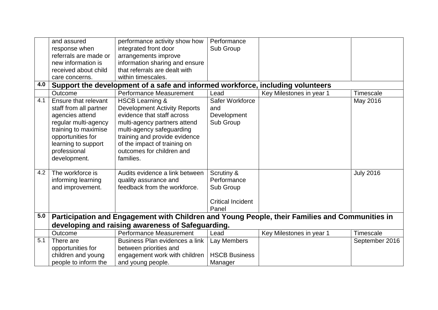|     | and assured            | performance activity show how                                                                  | Performance              |                          |                  |
|-----|------------------------|------------------------------------------------------------------------------------------------|--------------------------|--------------------------|------------------|
|     | response when          | integrated front door                                                                          | Sub Group                |                          |                  |
|     | referrals are made or  | arrangements improve                                                                           |                          |                          |                  |
|     | new information is     | information sharing and ensure                                                                 |                          |                          |                  |
|     | received about child   | that referrals are dealt with                                                                  |                          |                          |                  |
|     | care concerns.         | within timescales.                                                                             |                          |                          |                  |
| 4.0 |                        | Support the development of a safe and informed workforce, including volunteers                 |                          |                          |                  |
|     | Outcome                | Performance Measurement                                                                        | Lead                     | Key Milestones in year 1 | Timescale        |
| 4.1 | Ensure that relevant   | <b>HSCB Learning &amp;</b>                                                                     | Safer Workforce          |                          | May 2016         |
|     | staff from all partner | <b>Development Activity Reports</b>                                                            | and                      |                          |                  |
|     | agencies attend        | evidence that staff across                                                                     | Development              |                          |                  |
|     | regular multi-agency   | multi-agency partners attend                                                                   | Sub Group                |                          |                  |
|     | training to maximise   | multi-agency safeguarding                                                                      |                          |                          |                  |
|     | opportunities for      | training and provide evidence                                                                  |                          |                          |                  |
|     | learning to support    | of the impact of training on                                                                   |                          |                          |                  |
|     | professional           | outcomes for children and                                                                      |                          |                          |                  |
|     | development.           | families.                                                                                      |                          |                          |                  |
|     |                        |                                                                                                |                          |                          |                  |
| 4.2 | The workforce is       | Audits evidence a link between                                                                 | Scrutiny &               |                          | <b>July 2016</b> |
|     | informing learning     | quality assurance and                                                                          | Performance              |                          |                  |
|     | and improvement.       | feedback from the workforce.                                                                   | Sub Group                |                          |                  |
|     |                        |                                                                                                |                          |                          |                  |
|     |                        |                                                                                                | <b>Critical Incident</b> |                          |                  |
|     |                        |                                                                                                | Panel                    |                          |                  |
| 5.0 |                        | Participation and Engagement with Children and Young People, their Families and Communities in |                          |                          |                  |
|     |                        | developing and raising awareness of Safeguarding.                                              |                          |                          |                  |
|     | Outcome                | Performance Measurement                                                                        | Lead                     | Key Milestones in year 1 | Timescale        |
| 5.1 | There are              | Business Plan evidences a link                                                                 | Lay Members              |                          | September 2016   |
|     | opportunities for      | between priorities and                                                                         |                          |                          |                  |
|     | children and young     | engagement work with children                                                                  | <b>HSCB Business</b>     |                          |                  |
|     | people to inform the   | and young people.                                                                              | Manager                  |                          |                  |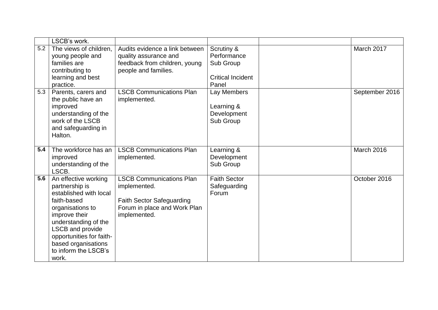|     | LSCB's work.                                                                                                                                                                                                                                         |                                                                                                                                     |                                                                             |                |
|-----|------------------------------------------------------------------------------------------------------------------------------------------------------------------------------------------------------------------------------------------------------|-------------------------------------------------------------------------------------------------------------------------------------|-----------------------------------------------------------------------------|----------------|
| 5.2 | The views of children,<br>young people and<br>families are<br>contributing to<br>learning and best<br>practice.                                                                                                                                      | Audits evidence a link between<br>quality assurance and<br>feedback from children, young<br>people and families.                    | Scrutiny &<br>Performance<br>Sub Group<br><b>Critical Incident</b><br>Panel | March 2017     |
| 5.3 | Parents, carers and<br>the public have an<br>improved<br>understanding of the<br>work of the LSCB<br>and safeguarding in<br>Halton.                                                                                                                  | <b>LSCB Communications Plan</b><br>implemented.                                                                                     | Lay Members<br>Learning &<br>Development<br>Sub Group                       | September 2016 |
| 5.4 | The workforce has an<br>improved<br>understanding of the<br>LSCB.                                                                                                                                                                                    | <b>LSCB Communications Plan</b><br>implemented.                                                                                     | Learning &<br>Development<br>Sub Group                                      | March 2016     |
| 5.6 | An effective working<br>partnership is<br>established with local<br>faith-based<br>organisations to<br>improve their<br>understanding of the<br>LSCB and provide<br>opportunities for faith-<br>based organisations<br>to inform the LSCB's<br>work. | <b>LSCB Communications Plan</b><br>implemented.<br><b>Faith Sector Safeguarding</b><br>Forum in place and Work Plan<br>implemented. | <b>Faith Sector</b><br>Safeguarding<br>Forum                                | October 2016   |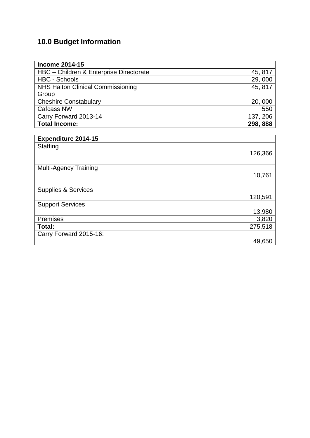## **10.0 Budget Information**

| <b>Income 2014-15</b>                    |          |
|------------------------------------------|----------|
| HBC - Children & Enterprise Directorate  | 45, 817  |
| <b>HBC - Schools</b>                     | 29,000   |
| <b>NHS Halton Clinical Commissioning</b> | 45, 817  |
| Group                                    |          |
| <b>Cheshire Constabulary</b>             | 20,000   |
| <b>Cafcass NW</b>                        | 550      |
| Carry Forward 2013-14                    | 137, 206 |
| <b>Total Income:</b>                     | 298, 888 |
|                                          |          |
| <b>Expenditure 2014-15</b>               |          |
| <b>Staffing</b>                          |          |

| Staffing                       | 126,366 |
|--------------------------------|---------|
| <b>Multi-Agency Training</b>   | 10,761  |
| <b>Supplies &amp; Services</b> | 120,591 |
| <b>Support Services</b>        | 13,980  |
| Premises                       | 3,820   |
| Total:                         | 275,518 |
| Carry Forward 2015-16:         |         |
|                                | 49,650  |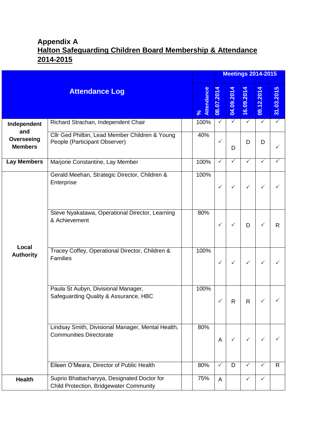## **Appendix A Halton Safeguarding Children Board Membership & Attendance 2014-2015**

|                                     |                                                                                        |                    |              |              |              | <b>Meetings 2014-2015</b> |                 |
|-------------------------------------|----------------------------------------------------------------------------------------|--------------------|--------------|--------------|--------------|---------------------------|-----------------|
|                                     | <b>Attendance Log</b>                                                                  | Attendance<br>$\%$ | 08.07.2014   | 04.09.2014   | 16.09.2014   | 09.12.2014                | ဖာ<br>31.03.201 |
| Independent                         | Richard Strachan, Independent Chair                                                    | 100%               | $\checkmark$ | $\checkmark$ | $\checkmark$ | $\checkmark$              | ✓               |
| and<br>Overseeing<br><b>Members</b> | Cllr Ged Philbin, Lead Member Children & Young<br>People (Participant Observer)        | 40%                | $\checkmark$ | D            | D            | D                         | $\checkmark$    |
| <b>Lay Members</b>                  | Marjorie Constantine, Lay Member                                                       | 100%               | ✓            | $\checkmark$ | $\checkmark$ | ✓                         |                 |
|                                     | Gerald Meehan, Strategic Director, Children &<br>Enterprise                            | 100%               | ✓            | $\checkmark$ | $\checkmark$ | ✓                         |                 |
|                                     | Steve Nyakatawa, Operational Director, Learning<br>& Achievement                       | 80%                | ✓            |              | D            | ✓                         | R               |
| Local<br><b>Authority</b>           | Tracey Coffey, Operational Director, Children &<br>Families                            | 100%               | ✓            | $\checkmark$ | $\checkmark$ | $\checkmark$              | ✓               |
|                                     | Paula St Aubyn, Divisional Manager,<br>Safeguarding Quality & Assurance, HBC           | 100%               |              | R            | R            |                           |                 |
|                                     | Lindsay Smith, Divisional Manager, Mental Health,<br><b>Communities Directorate</b>    | 80%                | A            |              | $\checkmark$ | ✓                         |                 |
|                                     | Eileen O'Meara, Director of Public Health                                              | 80%                | $\checkmark$ | D            | ✓            | ✓                         | R               |
| <b>Health</b>                       | Suprio Bhattacharyya, Designated Doctor for<br>Child Protection, Bridgewater Community | 75%                | A            |              | $\checkmark$ | ✓                         |                 |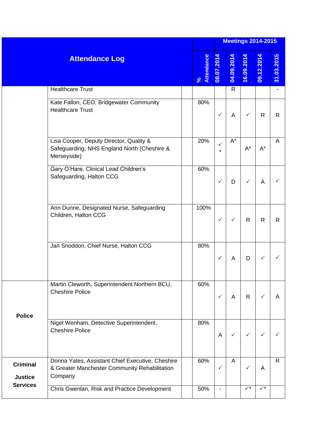|                                   |                                                                                                              |                    |               |              |                | <b>Meetings 2014-2015</b> |              |
|-----------------------------------|--------------------------------------------------------------------------------------------------------------|--------------------|---------------|--------------|----------------|---------------------------|--------------|
|                                   | <b>Attendance Log</b>                                                                                        | Attendance<br>$\%$ | 08.07.2014    | 04.09.2014   | 16.09.2014     | 09.12.2014                | 31.03.2015   |
|                                   | <b>Healthcare Trust</b>                                                                                      |                    |               | $\mathsf{R}$ |                |                           |              |
|                                   | Kate Fallon, CEO, Bridgewater Community<br><b>Healthcare Trust</b>                                           | 80%                | $\checkmark$  | A            | ✓              | $\mathsf{R}$              | $\mathsf{R}$ |
|                                   | Lisa Cooper, Deputy Director, Quality &<br>Safeguarding, NHS England North (Cheshire &<br>Merseyside)        | 20%                | ✓<br>$^\star$ | $A^*$        | $A^*$          | $\mathsf{A}^\star$        | A            |
|                                   | Gary O'Hare, Clinical Lead Children's<br>Safeguarding, Halton CCG                                            | 60%                | $\checkmark$  | D            | $\checkmark$   | A                         |              |
|                                   | Ann Dunne, Designated Nurse, Safeguarding<br>Children, Halton CCG                                            | 100%               | $\checkmark$  | ✓            | $\mathsf{R}$   | $\mathsf{R}$              | $\mathsf{R}$ |
|                                   | Jan Snoddon, Chief Nurse, Halton CCG                                                                         | 80%                | ✓             | A            | D              | $\checkmark$              |              |
| <b>Police</b>                     | Martin Cleworth, Superintendent Northern BCU,<br><b>Cheshire Police</b>                                      | 60%                | ✓             | A            | R              | $\checkmark$              | A            |
|                                   | Nigel Wenham, Detective Superintendent,<br><b>Cheshire Police</b>                                            | 80%                | A             | ✓            | $\checkmark$   | $\checkmark$              | ✓            |
| <b>Criminal</b><br><b>Justice</b> | Donna Yates, Assistant Chief Executive, Cheshire<br>& Greater Manchester Community Rehabilitation<br>Company | 60%                | $\checkmark$  | A            | $\checkmark$   | A                         | $\mathsf{R}$ |
| <b>Services</b>                   | Chris Gwenlan, Risk and Practice Development                                                                 | 50%                |               |              | $\sqrt{\star}$ | $\checkmark^{\star}$      |              |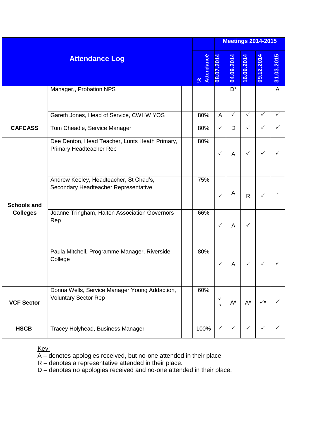|                                       |                                                                                |  |                    |                         |              |              | <b>Meetings 2014-2015</b> |              |
|---------------------------------------|--------------------------------------------------------------------------------|--|--------------------|-------------------------|--------------|--------------|---------------------------|--------------|
| <b>Attendance Log</b>                 |                                                                                |  | Attendance<br>$\%$ | 08.07.2014              | 04.09.2014   | 16.09.2014   | 09.12.2014                | 31.03.2015   |
|                                       | Manager,, Probation NPS                                                        |  |                    |                         | $D^*$        |              |                           | A            |
|                                       | Gareth Jones, Head of Service, CWHW YOS                                        |  | 80%                | A                       | ✓            | ✓            | ✓                         | ✓            |
| <b>CAFCASS</b>                        | Tom Cheadle, Service Manager                                                   |  | 80%                | $\checkmark$            | D            | ✓            | ✓                         | ✓            |
| <b>Schools and</b><br><b>Colleges</b> | Dee Denton, Head Teacher, Lunts Heath Primary,<br>Primary Headteacher Rep      |  | 80%                | $\checkmark$            | A            | ✓            | $\checkmark$              | ✓            |
|                                       | Andrew Keeley, Headteacher, St Chad's,<br>Secondary Headteacher Representative |  | 75%                | ✓                       | A            | $\mathsf{R}$ | $\checkmark$              |              |
|                                       | Joanne Tringham, Halton Association Governors<br>Rep                           |  | 66%                | $\checkmark$            | A            | ✓            |                           |              |
|                                       | Paula Mitchell, Programme Manager, Riverside<br>College                        |  | 80%                | $\checkmark$            | A            |              |                           |              |
| <b>VCF Sector</b>                     | Donna Wells, Service Manager Young Addaction,<br><b>Voluntary Sector Rep</b>   |  | 60%                | $\checkmark$<br>$\star$ | $A^*$        | $A^*$        | $\checkmark^*$            |              |
| <b>HSCB</b>                           | Tracey Holyhead, Business Manager                                              |  | 100%               | $\checkmark$            | $\checkmark$ | $\checkmark$ | $\checkmark$              | $\checkmark$ |

Key:

A – denotes apologies received, but no-one attended in their place.

R – denotes a representative attended in their place.

D – denotes no apologies received and no-one attended in their place.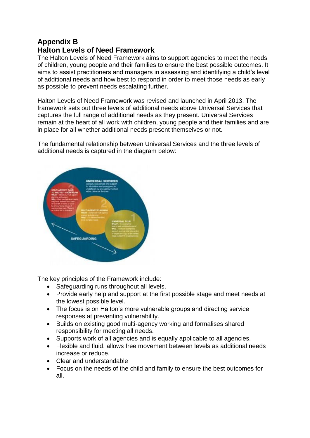#### **Appendix B Halton Levels of Need Framework**

The Halton Levels of Need Framework aims to support agencies to meet the needs of children, young people and their families to ensure the best possible outcomes. It aims to assist practitioners and managers in assessing and identifying a child's level of additional needs and how best to respond in order to meet those needs as early as possible to prevent needs escalating further.

Halton Levels of Need Framework was revised and launched in April 2013. The framework sets out three levels of additional needs above Universal Services that captures the full range of additional needs as they present. Universal Services remain at the heart of all work with children, young people and their families and are in place for all whether additional needs present themselves or not.

The fundamental relationship between Universal Services and the three levels of additional needs is captured in the diagram below:



The key principles of the Framework include:

- Safeguarding runs throughout all levels.
- Provide early help and support at the first possible stage and meet needs at the lowest possible level.
- The focus is on Halton's more vulnerable groups and directing service responses at preventing vulnerability.
- Builds on existing good multi-agency working and formalises shared responsibility for meeting all needs.
- Supports work of all agencies and is equally applicable to all agencies.
- Flexible and fluid, allows free movement between levels as additional needs increase or reduce.
- Clear and understandable
- Focus on the needs of the child and family to ensure the best outcomes for all.